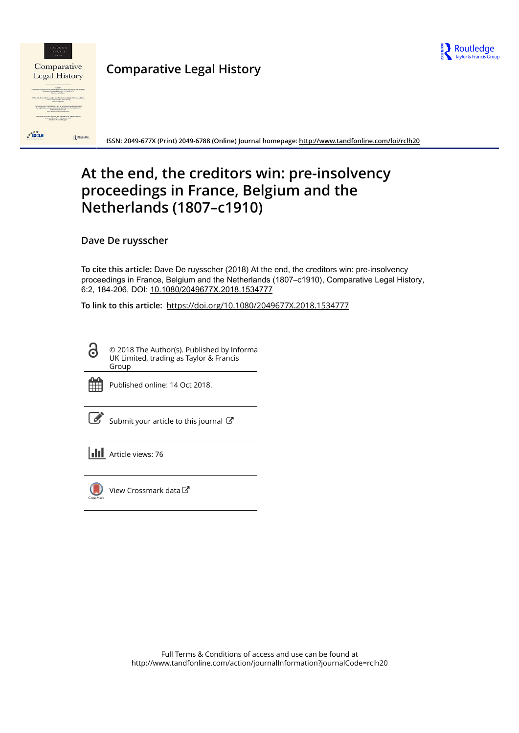



# Comparative Legal History

ISSN: 2049-677X (Print) 2049-6788 (Online) Journal homepage:<http://www.tandfonline.com/loi/rclh20>

# At the end, the creditors win: pre-insolvency proceedings in France, Belgium and the Netherlands (1807–c1910)

Dave De ruysscher

To cite this article: Dave De ruysscher (2018) At the end, the creditors win: pre-insolvency proceedings in France, Belgium and the Netherlands (1807–c1910), Comparative Legal History, 6:2, 184-206, DOI: [10.1080/2049677X.2018.1534777](http://www.tandfonline.com/action/showCitFormats?doi=10.1080/2049677X.2018.1534777)

To link to this article: <https://doi.org/10.1080/2049677X.2018.1534777>

6 © 2018 The Author(s). Published by Informa UK Limited, trading as Taylor & Francis Group



Published online: 14 Oct 2018.

[Submit your article to this journal](http://www.tandfonline.com/action/authorSubmission?journalCode=rclh20&show=instructions)  $\mathbb{Z}$ 

| <b>II</b> Article views: 76 |  |
|-----------------------------|--|
|-----------------------------|--|



 $\bigcirc$  [View Crossmark data](http://crossmark.crossref.org/dialog/?doi=10.1080/2049677X.2018.1534777&domain=pdf&date_stamp=2018-10-14) $\mathbb{Z}$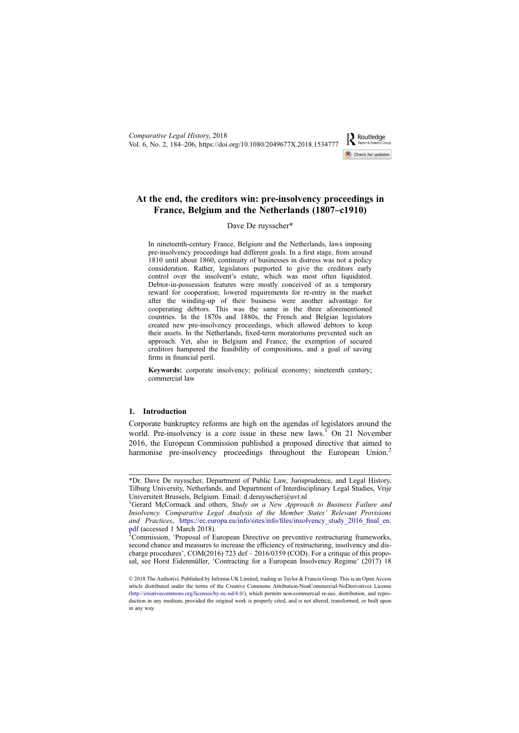Comparative Legal History, 2018 Vol. 6, No. 2, 184–206, https://doi.org/10.1080/2049677X.2018.1534777



## At the end, the creditors win: pre-insolvency proceedings in France, Belgium and the Netherlands (1807–c1910)

#### Dave De ruysscher\*

In nineteenth-century France, Belgium and the Netherlands, laws imposing pre-insolvency proceedings had different goals. In a first stage, from around 1810 until about 1860, continuity of businesses in distress was not a policy consideration. Rather, legislators purported to give the creditors early control over the insolvent's estate, which was most often liquidated. Debtor-in-possession features were mostly conceived of as a temporary reward for cooperation; lowered requirements for re-entry in the market after the winding-up of their business were another advantage for cooperating debtors. This was the same in the three aforementioned countries. In the 1870s and 1880s, the French and Belgian legislators created new pre-insolvency proceedings, which allowed debtors to keep their assets. In the Netherlands, fixed-term moratoriums prevented such an approach. Yet, also in Belgium and France, the exemption of secured creditors hampered the feasibility of compositions, and a goal of saving firms in financial peril.

Keywords: corporate insolvency; political economy; nineteenth century; commercial law

#### 1. Introduction

Corporate bankruptcy reforms are high on the agendas of legislators around the world. Pre-insolvency is a core issue in these new laws.<sup>1</sup> On 21 November 2016, the European Commission published a proposed directive that aimed to harmonise pre-insolvency proceedings throughout the European Union.<sup>2</sup>

<sup>\*</sup>Dr. Dave De ruysscher, Department of Public Law, Jurisprudence, and Legal History, Tilburg University, Netherlands, and Department of Interdisciplinary Legal Studies, Vrije Universiteit Brussels, Belgium. Email: [d.deruysscher@uvt.nl](mailto:d.deruysscher@uvt.nl)

<sup>&</sup>lt;sup>1</sup>Gerard McCormack and others, Study on a New Approach to Business Failure and Insolvency. Comparative Legal Analysis of the Member States' Relevant Provisions and Practices, [https://ec.europa.eu/info/sites/info/](https://ec.europa.eu/info/sites/info/files/insolvency_study_2016_final_en.pdf)files/insolvency study 2016 final en. [pdf](https://ec.europa.eu/info/sites/info/files/insolvency_study_2016_final_en.pdf) (accessed 1 March 2018).

<sup>&</sup>lt;sup>2</sup>Commission, 'Proposal of European Directive on preventive restructuring frameworks, second chance and measures to increase the efficiency of restructuring, insolvency and discharge procedures',  $COM(2016)$  723 def – 2016/0359 (COD). For a critique of this proposal, see Horst Eidenmüller, 'Contracting for a European Insolvency Regime' (2017) 18

<sup>© 2018</sup> The Author(s). Published by Informa UK Limited, trading as Taylor & Francis Group. This is an Open Access article distributed under the terms of the Creative Commons Attribution-NonCommercial-NoDerivatives License [\(http://creativecommons.org/licenses/by-nc-nd/4.0/](http://creativecommons.org/licenses/by-nc-nd/4.0/)), which permits non-commercial re-use, distribution, and reproduction in any medium, provided the original work is properly cited, and is not altered, transformed, or built upon in any way.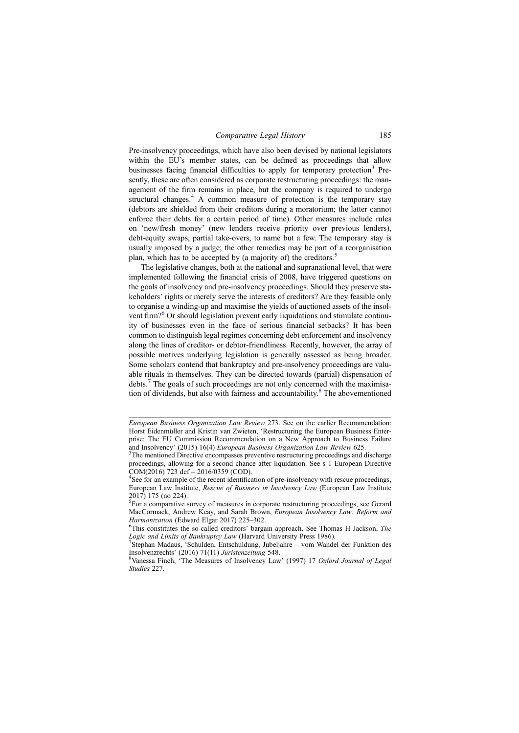Pre-insolvency proceedings, which have also been devised by national legislators within the EU's member states, can be defined as proceedings that allow businesses facing financial difficulties to apply for temporary protection<sup>3</sup> Presently, these are often considered as corporate restructuring proceedings: the management of the firm remains in place, but the company is required to undergo structural changes.<sup>4</sup> A common measure of protection is the temporary stay (debtors are shielded from their creditors during a moratorium; the latter cannot enforce their debts for a certain period of time). Other measures include rules on 'new/fresh money' (new lenders receive priority over previous lenders), debt-equity swaps, partial take-overs, to name but a few. The temporary stay is usually imposed by a judge; the other remedies may be part of a reorganisation plan, which has to be accepted by (a majority of) the creditors.<sup>5</sup>

The legislative changes, both at the national and supranational level, that were implemented following the financial crisis of 2008, have triggered questions on the goals of insolvency and pre-insolvency proceedings. Should they preserve stakeholders' rights or merely serve the interests of creditors? Are they feasible only to organise a winding-up and maximise the yields of auctioned assets of the insolvent firm?<sup>6</sup> Or should legislation prevent early liquidations and stimulate continuity of businesses even in the face of serious financial setbacks? It has been common to distinguish legal regimes concerning debt enforcement and insolvency along the lines of creditor- or debtor-friendliness. Recently, however, the array of possible motives underlying legislation is generally assessed as being broader. Some scholars contend that bankruptcy and pre-insolvency proceedings are valuable rituals in themselves. They can be directed towards (partial) dispensation of debts.<sup>7</sup> The goals of such proceedings are not only concerned with the maximisation of dividends, but also with fairness and accountability. $8$  The abovementioned

European Business Organization Law Review 273. See on the earlier Recommendation: Horst Eidenmüller and Kristin van Zwieten, 'Restructuring the European Business Enterprise: The EU Commission Recommendation on a New Approach to Business Failure and Insolvency' (2015) 16(4) *European Business Organization Law Review* 625.<br><sup>3</sup>The mentioned Directive encompasses preventive restructuring proceedings and discharge

proceedings, allowing for a second chance after liquidation. See s 1 European Directive  $COM(2016)$  723 def – 2016/0359 (COD).

<sup>&</sup>lt;sup>4</sup>See for an example of the recent identification of pre-insolvency with rescue proceedings, European Law Institute, Rescue of Business in Insolvency Law (European Law Institute 2017) 175 (no 224).

<sup>&</sup>lt;sup>5</sup>For a comparative survey of measures in corporate restructuring proceedings, see Gerard MacCormack, Andrew Keay, and Sarah Brown, European Insolvency Law: Reform and Harmonization (Edward Elgar 2017) 225-302.

<sup>&</sup>lt;sup>6</sup>This constitutes the so-called creditors' bargain approach. See Thomas H Jackson, *The* Logic and Limits of Bankruptcy Law (Harvard University Press 1986).

Stephan Madaus, 'Schulden, Entschuldung, Jubeljahre – vom Wandel der Funktion des Insolvenzrechts' (2016) 71(11) Juristenzeitung 548.

<sup>&</sup>lt;sup>8</sup>Vanessa Finch, 'The Measures of Insolvency Law' (1997) 17 Oxford Journal of Legal Studies 227.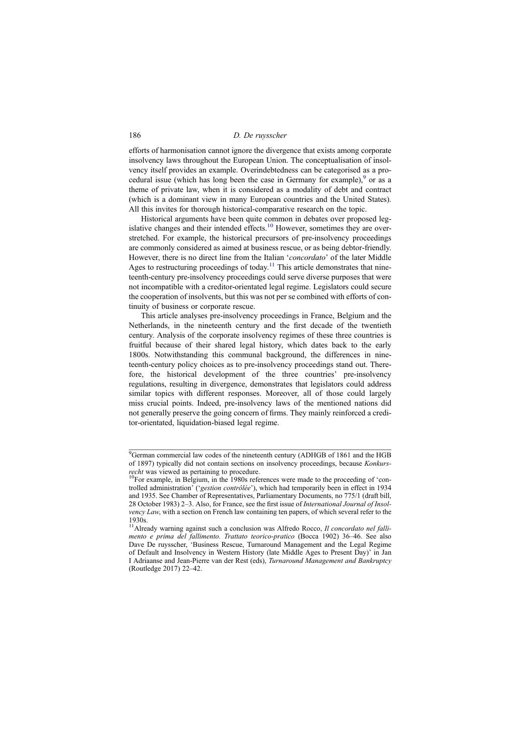efforts of harmonisation cannot ignore the divergence that exists among corporate insolvency laws throughout the European Union. The conceptualisation of insolvency itself provides an example. Overindebtedness can be categorised as a procedural issue (which has long been the case in Germany for example), $\degree$  or as a theme of private law, when it is considered as a modality of debt and contract (which is a dominant view in many European countries and the United States). All this invites for thorough historical-comparative research on the topic.

Historical arguments have been quite common in debates over proposed legislative changes and their intended effects.<sup>10</sup> However, sometimes they are overstretched. For example, the historical precursors of pre-insolvency proceedings are commonly considered as aimed at business rescue, or as being debtor-friendly. However, there is no direct line from the Italian 'concordato' of the later Middle Ages to restructuring proceedings of today.<sup>11</sup> This article demonstrates that nineteenth-century pre-insolvency proceedings could serve diverse purposes that were not incompatible with a creditor-orientated legal regime. Legislators could secure the cooperation of insolvents, but this was not per se combined with efforts of continuity of business or corporate rescue.

This article analyses pre-insolvency proceedings in France, Belgium and the Netherlands, in the nineteenth century and the first decade of the twentieth century. Analysis of the corporate insolvency regimes of these three countries is fruitful because of their shared legal history, which dates back to the early 1800s. Notwithstanding this communal background, the differences in nineteenth-century policy choices as to pre-insolvency proceedings stand out. Therefore, the historical development of the three countries' pre-insolvency regulations, resulting in divergence, demonstrates that legislators could address similar topics with different responses. Moreover, all of those could largely miss crucial points. Indeed, pre-insolvency laws of the mentioned nations did not generally preserve the going concern of firms. They mainly reinforced a creditor-orientated, liquidation-biased legal regime.

<sup>&</sup>lt;sup>9</sup>German commercial law codes of the nineteenth century (ADHGB of 1861 and the HGB of 1897) typically did not contain sections on insolvency proceedings, because Konkurs-<br>recht was viewed as pertaining to procedure.

 $10$ For example, in Belgium, in the 1980s references were made to the proceeding of 'controlled administration' ('gestion contrôlée'), which had temporarily been in effect in 1934 and 1935. See Chamber of Representatives, Parliamentary Documents, no 775/1 (draft bill, 28 October 1983) 2–3. Also, for France, see the first issue of International Journal of Insolvency Law, with a section on French law containing ten papers, of which several refer to the 1930s.

 $11$ Already warning against such a conclusion was Alfredo Rocco, Il concordato nel fallimento e prima del fallimento. Trattato teorico-pratico (Bocca 1902) 36–46. See also Dave De ruysscher, 'Business Rescue, Turnaround Management and the Legal Regime of Default and Insolvency in Western History (late Middle Ages to Present Day)' in Jan I Adriaanse and Jean-Pierre van der Rest (eds), Turnaround Management and Bankruptcy (Routledge 2017) 22–42.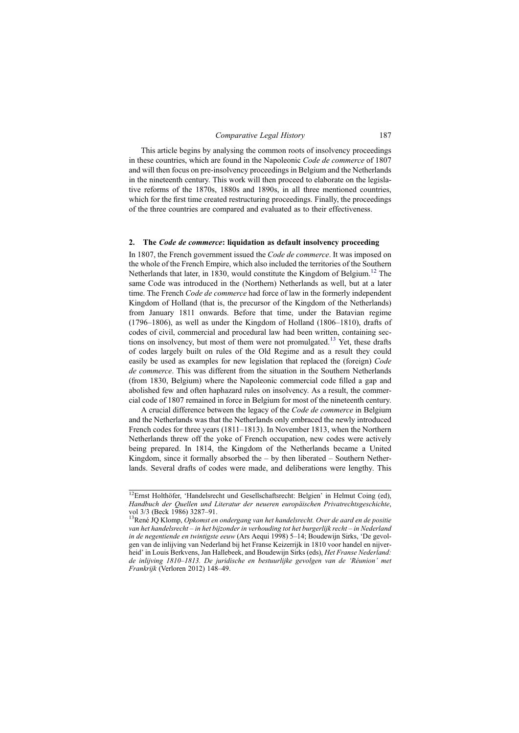This article begins by analysing the common roots of insolvency proceedings in these countries, which are found in the Napoleonic Code de commerce of 1807 and will then focus on pre-insolvency proceedings in Belgium and the Netherlands in the nineteenth century. This work will then proceed to elaborate on the legislative reforms of the 1870s, 1880s and 1890s, in all three mentioned countries, which for the first time created restructuring proceedings. Finally, the proceedings of the three countries are compared and evaluated as to their effectiveness.

#### 2. The Code de commerce: liquidation as default insolvency proceeding

In 1807, the French government issued the *Code de commerce*. It was imposed on the whole of the French Empire, which also included the territories of the Southern Netherlands that later, in 1830, would constitute the Kingdom of Belgium.<sup>12</sup> The same Code was introduced in the (Northern) Netherlands as well, but at a later time. The French *Code de commerce* had force of law in the formerly independent Kingdom of Holland (that is, the precursor of the Kingdom of the Netherlands) from January 1811 onwards. Before that time, under the Batavian regime (1796–1806), as well as under the Kingdom of Holland (1806–1810), drafts of codes of civil, commercial and procedural law had been written, containing sections on insolvency, but most of them were not promulgated.<sup>13</sup> Yet, these drafts of codes largely built on rules of the Old Regime and as a result they could easily be used as examples for new legislation that replaced the (foreign) Code de commerce. This was different from the situation in the Southern Netherlands (from 1830, Belgium) where the Napoleonic commercial code filled a gap and abolished few and often haphazard rules on insolvency. As a result, the commercial code of 1807 remained in force in Belgium for most of the nineteenth century.

A crucial difference between the legacy of the Code de commerce in Belgium and the Netherlands was that the Netherlands only embraced the newly introduced French codes for three years (1811–1813). In November 1813, when the Northern Netherlands threw off the yoke of French occupation, new codes were actively being prepared. In 1814, the Kingdom of the Netherlands became a United Kingdom, since it formally absorbed the  $-$  by then liberated  $-$  Southern Netherlands. Several drafts of codes were made, and deliberations were lengthy. This

<sup>&</sup>lt;sup>12</sup>Ernst Holthöfer, 'Handelsrecht und Gesellschaftsrecht: Belgien' in Helmut Coing (ed), Handbuch der Quellen und Literatur der neueren europäischen Privatrechtsgeschichte, vol 3/3 (Beck 1986) 3287–91.<br><sup>13</sup>René JQ Klomp, *Opkomst en ondergang van het handelsrecht. Over de aard en de positie* 

van het handelsrecht – in het bijzonder in verhouding tot het burgerlijk recht – in Nederland in de negentiende en twintigste eeuw (Ars Aequi 1998) 5–14; Boudewijn Sirks, 'De gevolgen van de inlijving van Nederland bij het Franse Keizerrijk in 1810 voor handel en nijverheid' in Louis Berkvens, Jan Hallebeek, and Boudewijn Sirks (eds), Het Franse Nederland: de inlijving 1810–1813. De juridische en bestuurlijke gevolgen van de 'Réunion' met Frankrijk (Verloren 2012) 148–49.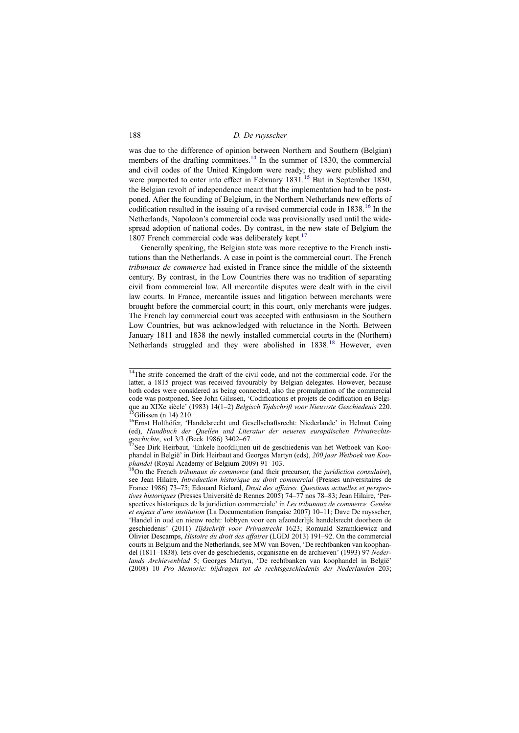was due to the difference of opinion between Northern and Southern (Belgian) members of the drafting committees.<sup>14</sup> In the summer of 1830, the commercial and civil codes of the United Kingdom were ready; they were published and were purported to enter into effect in February 1831.<sup>15</sup> But in September 1830, the Belgian revolt of independence meant that the implementation had to be postponed. After the founding of Belgium, in the Northern Netherlands new efforts of codification resulted in the issuing of a revised commercial code in 1838.<sup>16</sup> In the Netherlands, Napoleon's commercial code was provisionally used until the widespread adoption of national codes. By contrast, in the new state of Belgium the 1807 French commercial code was deliberately kept.<sup>17</sup>

Generally speaking, the Belgian state was more receptive to the French institutions than the Netherlands. A case in point is the commercial court. The French tribunaux de commerce had existed in France since the middle of the sixteenth century. By contrast, in the Low Countries there was no tradition of separating civil from commercial law. All mercantile disputes were dealt with in the civil law courts. In France, mercantile issues and litigation between merchants were brought before the commercial court; in this court, only merchants were judges. The French lay commercial court was accepted with enthusiasm in the Southern Low Countries, but was acknowledged with reluctance in the North. Between January 1811 and 1838 the newly installed commercial courts in the (Northern) Netherlands struggled and they were abolished in 1838.<sup>18</sup> However, even

<sup>&</sup>lt;sup>14</sup>The strife concerned the draft of the civil code, and not the commercial code. For the latter, a 1815 project was received favourably by Belgian delegates. However, because both codes were considered as being connected, also the promulgation of the commercial code was postponed. See John Gilissen, 'Codifications et projets de codification en Belgique au XIXe siècle' (1983) 14(1–2) Belgisch Tijdschrift voor Nieuwste Geschiedenis 220.<br><sup>15</sup>Gilissen (n 14) 210.<br><sup>16</sup>Ernst Holthöfer, 'Handelsrecht und Gesellschaftsrecht: Niederlande' in Helmut Coing

<sup>(</sup>ed), Handbuch der Quellen und Literatur der neueren europäischen Privatrechts-<br>geschichte, vol 3/3 (Beck 1986) 3402–67.

See Dirk Heirbaut, 'Enkele hoofdlijnen uit de geschiedenis van het Wetboek van Koophandel in België' in Dirk Heirbaut and Georges Martyn (eds), 200 jaar Wetboek van Koophandel (Royal Academy of Belgium 2009) 91–103. <sup>18</sup>On the French *tribunaux de commerce* (and their precursor, the *juridiction consulaire*),

see Jean Hilaire, Introduction historique au droit commercial (Presses universitaires de France 1986) 73–75; Edouard Richard, Droit des affaires. Questions actuelles et perspectives historiques (Presses Université de Rennes 2005) 74–77 nos 78–83; Jean Hilaire, 'Perspectives historiques de la juridiction commerciale' in Les tribunaux de commerce. Genèse et enjeux d'une institution (La Documentation française 2007) 10–11; Dave De ruysscher, 'Handel in oud en nieuw recht: lobbyen voor een afzonderlijk handelsrecht doorheen de geschiedenis' (2011) Tijdschrift voor Privaatrecht 1623; Romuald Szramkiewicz and Olivier Descamps, Histoire du droit des affaires (LGDJ 2013) 191–92. On the commercial courts in Belgium and the Netherlands, see MW van Boven, 'De rechtbanken van koophandel (1811–1838). Iets over de geschiedenis, organisatie en de archieven' (1993) 97 Nederlands Archievenblad 5; Georges Martyn, 'De rechtbanken van koophandel in België' (2008) 10 Pro Memorie: bijdragen tot de rechtsgeschiedenis der Nederlanden 203;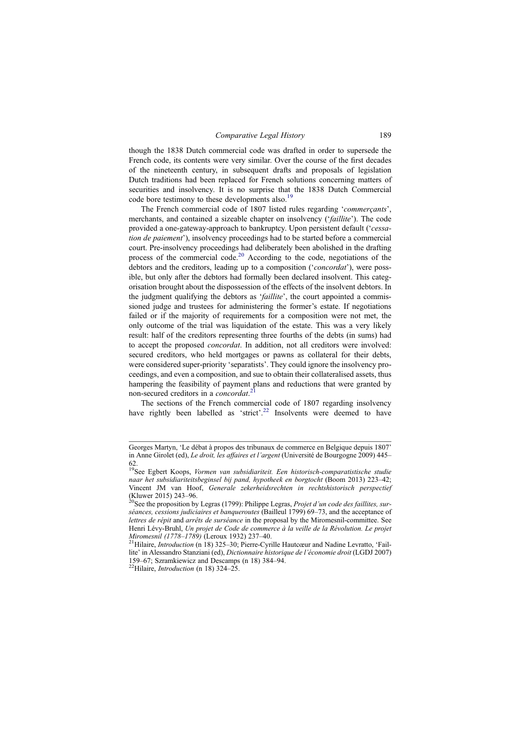though the 1838 Dutch commercial code was drafted in order to supersede the French code, its contents were very similar. Over the course of the first decades of the nineteenth century, in subsequent drafts and proposals of legislation Dutch traditions had been replaced for French solutions concerning matters of securities and insolvency. It is no surprise that the 1838 Dutch Commercial code bore testimony to these developments also.<sup>19</sup>

The French commercial code of 1807 listed rules regarding 'commerçants', merchants, and contained a sizeable chapter on insolvency ('faillite'). The code provided a one-gateway-approach to bankruptcy. Upon persistent default ('cessation de paiement'), insolvency proceedings had to be started before a commercial court. Pre-insolvency proceedings had deliberately been abolished in the drafting process of the commercial code.<sup>20</sup> According to the code, negotiations of the debtors and the creditors, leading up to a composition ('concordat'), were possible, but only after the debtors had formally been declared insolvent. This categorisation brought about the dispossession of the effects of the insolvent debtors. In the judgment qualifying the debtors as 'faillite', the court appointed a commissioned judge and trustees for administering the former's estate. If negotiations failed or if the majority of requirements for a composition were not met, the only outcome of the trial was liquidation of the estate. This was a very likely result: half of the creditors representing three fourths of the debts (in sums) had to accept the proposed concordat. In addition, not all creditors were involved: secured creditors, who held mortgages or pawns as collateral for their debts, were considered super-priority 'separatists'. They could ignore the insolvency proceedings, and even a composition, and sue to obtain their collateralised assets, thus hampering the feasibility of payment plans and reductions that were granted by non-secured creditors in a *concordat*.<sup>21</sup>

The sections of the French commercial code of 1807 regarding insolvency have rightly been labelled as 'strict'.<sup>22</sup> Insolvents were deemed to have

Georges Martyn, 'Le débat à propos des tribunaux de commerce en Belgique depuis 1807' in Anne Girolet (ed), Le droit, les affaires et l'argent (Université de Bourgogne 2009) 445–

<sup>62.&</sup>lt;br><sup>19</sup>See Egbert Koops, *Vormen van subsidiariteit. Een historisch-comparatistische studie* naar het subsidiariteitsbeginsel bij pand, hypotheek en borgtocht (Boom 2013) 223–42; Vincent JM van Hoof, Generale zekerheidsrechten in rechtshistorisch perspectief

<sup>&</sup>lt;sup>20</sup>See the proposition by Legras (1799): Philippe Legras, *Projet d'un code des faillites*, surséances, cessions judiciaires et banqueroutes (Bailleul 1799) 69–73, and the acceptance of lettres de répit and arrêts de surséance in the proposal by the Miromesnil-committee. See Henri Lévy-Bruhl, Un projet de Code de commerce à la veille de la Révolution. Le projet *Miromesnil* (1778–1789) (Leroux 1932) 237–40.<br><sup>21</sup>Hilaire, *Introduction* (n 18) 325–30; Pierre-Cyrille Hautcœur and Nadine Levratto, 'Fail-

lite' in Alessandro Stanziani (ed), Dictionnaire historique de l'économie droit (LGDJ 2007) 159–67; Szramkiewicz and Descamps (n 18) 384–94.<br><sup>22</sup>Hilaire, *Introduction* (n 18) 324–25.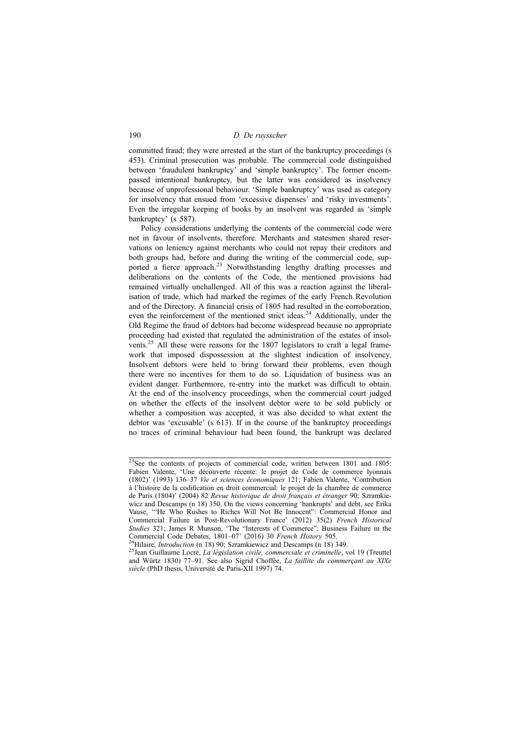committed fraud; they were arrested at the start of the bankruptcy proceedings (s 453). Criminal prosecution was probable. The commercial code distinguished between 'fraudulent bankruptcy' and 'simple bankruptcy'. The former encompassed intentional bankruptcy, but the latter was considered as insolvency because of unprofessional behaviour. 'Simple bankruptcy' was used as category for insolvency that ensued from 'excessive dispenses' and 'risky investments'. Even the irregular keeping of books by an insolvent was regarded as 'simple bankruptcy' (s 587).

Policy considerations underlying the contents of the commercial code were not in favour of insolvents, therefore. Merchants and statesmen shared reservations on leniency against merchants who could not repay their creditors and both groups had, before and during the writing of the commercial code, supported a fierce approach.<sup>23</sup> Notwithstanding lengthy drafting processes and deliberations on the contents of the Code, the mentioned provisions had remained virtually unchallenged. All of this was a reaction against the liberalisation of trade, which had marked the regimes of the early French Revolution and of the Directory. A financial crisis of 1805 had resulted in the corroboration, even the reinforcement of the mentioned strict ideas.<sup>24</sup> Additionally, under the Old Regime the fraud of debtors had become widespread because no appropriate proceeding had existed that regulated the administration of the estates of insolvents.<sup>25</sup> All these were reasons for the 1807 legislators to craft a legal framework that imposed dispossession at the slightest indication of insolvency. Insolvent debtors were held to bring forward their problems, even though there were no incentives for them to do so. Liquidation of business was an evident danger. Furthermore, re-entry into the market was difficult to obtain. At the end of the insolvency proceedings, when the commercial court judged on whether the effects of the insolvent debtor were to be sold publicly or whether a composition was accepted, it was also decided to what extent the debtor was 'excusable' (s 613). If in the course of the bankruptcy proceedings no traces of criminal behaviour had been found, the bankrupt was declared

 $23$ See the contents of projects of commercial code, written between 1801 and 1805: Fabien Valente, 'Une découverte récente: le projet de Code de commerce lyonnais (1802)' (1993) 136–37 Vie et sciences économiques 121; Fabien Valente, 'Contribution à l'histoire de la codification en droit commercial: le projet de la chambre de commerce de Paris (1804)' (2004) 82 Revue historique de droit français et étranger 90; Szramkiewicz and Descamps (n 18) 350. On the views concerning 'bankrupts' and debt, see Erika Vause, '"He Who Rushes to Riches Will Not Be Innocent": Commercial Honor and Commercial Failure in Post-Revolutionary France' (2012) 35(2) French Historical Studies 321; James R Munson, 'The "Interests of Commerce": Business Failure in the

<sup>&</sup>lt;sup>24</sup>Hilaire, *Introduction* (n 18) 90; Szramkiewicz and Descamps (n 18) 349.<br><sup>25</sup>Jean Guillaume Locré, *La législation civile, commerciale et criminelle*, vol 19 (Treuttel and Würtz 1830) 77–91. See also Sigrid Choffée, La faillite du commerçant au XIXe siècle (PhD thesis, Université de Paris-XII 1997) 74.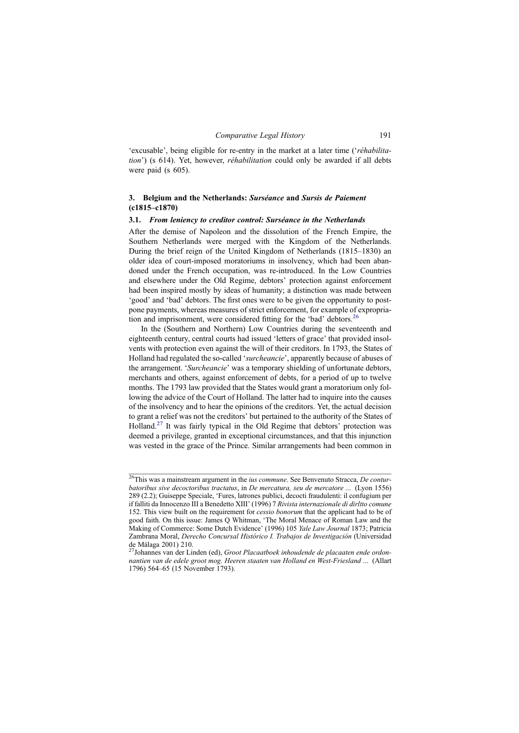'excusable', being eligible for re-entry in the market at a later time ('réhabilitation') (s 614). Yet, however, réhabilitation could only be awarded if all debts were paid (s 605).

#### 3. Belgium and the Netherlands: Surséance and Sursis de Paiement (c1815–c1870)

#### 3.1. From leniency to creditor control: Surséance in the Netherlands

After the demise of Napoleon and the dissolution of the French Empire, the Southern Netherlands were merged with the Kingdom of the Netherlands. During the brief reign of the United Kingdom of Netherlands (1815–1830) an older idea of court-imposed moratoriums in insolvency, which had been abandoned under the French occupation, was re-introduced. In the Low Countries and elsewhere under the Old Regime, debtors' protection against enforcement had been inspired mostly by ideas of humanity; a distinction was made between 'good' and 'bad' debtors. The first ones were to be given the opportunity to postpone payments, whereas measures of strict enforcement, for example of expropriation and imprisonment, were considered fitting for the 'bad' debtors.<sup>26</sup>

In the (Southern and Northern) Low Countries during the seventeenth and eighteenth century, central courts had issued 'letters of grace' that provided insolvents with protection even against the will of their creditors. In 1793, the States of Holland had regulated the so-called 'surcheancie', apparently because of abuses of the arrangement. 'Surcheancie' was a temporary shielding of unfortunate debtors, merchants and others, against enforcement of debts, for a period of up to twelve months. The 1793 law provided that the States would grant a moratorium only following the advice of the Court of Holland. The latter had to inquire into the causes of the insolvency and to hear the opinions of the creditors. Yet, the actual decision to grant a relief was not the creditors' but pertained to the authority of the States of Holland.<sup>27</sup> It was fairly typical in the Old Regime that debtors' protection was deemed a privilege, granted in exceptional circumstances, and that this injunction was vested in the grace of the Prince. Similar arrangements had been common in

 $26$ This was a mainstream argument in the *ius commune*. See Benvenuto Stracca, De conturbatoribus sive decoctoribus tractatus, in De mercatura, seu de mercatore … (Lyon 1556) 289 (2.2); Guiseppe Speciale, 'Fures, latrones publici, decocti fraudulenti: il confugium per if falliti da Innocenzo III a Benedetto XIII' (1996) 7 Rivista internazionale di dirltto comune 152. This view built on the requirement for cessio bonorum that the applicant had to be of good faith. On this issue: James Q Whitman, 'The Moral Menace of Roman Law and the Making of Commerce: Some Dutch Evidence' (1996) 105 Yale Law Journal 1873; Patricia Zambrana Moral, Derecho Concursal Histórico I. Trabajos de Investigación (Universidad de Málaga 2001) 210.<br><sup>27</sup>Johannes van der Linden (ed), *Groot Placaatboek inhoudende de placaaten ende ordon*-

nantien van de edele groot mog. Heeren staaten van Holland en West-Friesland … (Allart 1796) 564–65 (15 November 1793).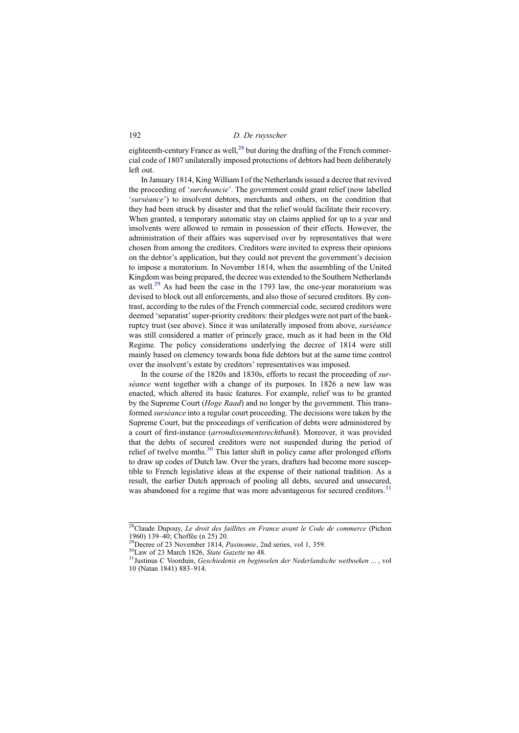eighteenth-century France as well, $^{28}$  but during the drafting of the French commercial code of 1807 unilaterally imposed protections of debtors had been deliberately left out.

In January 1814, King William I of the Netherlands issued a decree that revived the proceeding of 'surcheancie'. The government could grant relief (now labelled 'surséance') to insolvent debtors, merchants and others, on the condition that they had been struck by disaster and that the relief would facilitate their recovery. When granted, a temporary automatic stay on claims applied for up to a year and insolvents were allowed to remain in possession of their effects. However, the administration of their affairs was supervised over by representatives that were chosen from among the creditors. Creditors were invited to express their opinions on the debtor's application, but they could not prevent the government's decision to impose a moratorium. In November 1814, when the assembling of the United Kingdom was being prepared, the decree was extended to the Southern Netherlands as well.<sup>29</sup> As had been the case in the 1793 law, the one-year moratorium was devised to block out all enforcements, and also those of secured creditors. By contrast, according to the rules of the French commercial code, secured creditors were deemed 'separatist'super-priority creditors: their pledges were not part of the bankruptcy trust (see above). Since it was unilaterally imposed from above, surséance was still considered a matter of princely grace, much as it had been in the Old Regime. The policy considerations underlying the decree of 1814 were still mainly based on clemency towards bona fide debtors but at the same time control over the insolvent's estate by creditors' representatives was imposed.

In the course of the 1820s and 1830s, efforts to recast the proceeding of *sur*séance went together with a change of its purposes. In 1826 a new law was enacted, which altered its basic features. For example, relief was to be granted by the Supreme Court (Hoge Raad) and no longer by the government. This transformed surséance into a regular court proceeding. The decisions were taken by the Supreme Court, but the proceedings of verification of debts were administered by a court of first-instance (arrondissementsrechtbank). Moreover, it was provided that the debts of secured creditors were not suspended during the period of relief of twelve months.<sup>30</sup> This latter shift in policy came after prolonged efforts to draw up codes of Dutch law. Over the years, drafters had become more susceptible to French legislative ideas at the expense of their national tradition. As a result, the earlier Dutch approach of pooling all debts, secured and unsecured, was abandoned for a regime that was more advantageous for secured creditors.<sup>31</sup>

<sup>&</sup>lt;sup>28</sup>Claude Dupouy, *Le droit des faillites en France avant le Code de commerce* (Pichon 1960) 139-40; Choffée (n 25) 20.

<sup>&</sup>lt;sup>29</sup>Decree of 23 November 1814, *Pasinomie*, 2nd series, vol 1, 359.<br><sup>30</sup>Law of 23 March 1826, *State Gazette* no 48.<br><sup>31</sup>Justinus C Voorduin, *Geschiedenis en beginselen der Nederlandsche wetboeken* ..., vol 10 (Natan 1841) 883–914.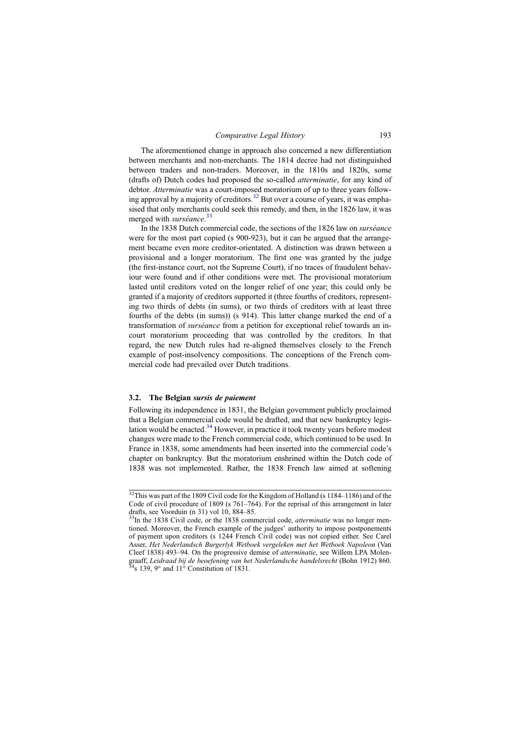The aforementioned change in approach also concerned a new differentiation between merchants and non-merchants. The 1814 decree had not distinguished between traders and non-traders. Moreover, in the 1810s and 1820s, some (drafts of) Dutch codes had proposed the so-called atterminatie, for any kind of debtor. Atterminatie was a court-imposed moratorium of up to three years following approval by a majority of creditors.<sup>32</sup> But over a course of years, it was emphasised that only merchants could seek this remedy, and then, in the 1826 law, it was merged with surséance.<sup>33</sup>

In the 1838 Dutch commercial code, the sections of the 1826 law on surséance were for the most part copied (s 900-923), but it can be argued that the arrangement became even more creditor-orientated. A distinction was drawn between a provisional and a longer moratorium. The first one was granted by the judge (the first-instance court, not the Supreme Court), if no traces of fraudulent behaviour were found and if other conditions were met. The provisional moratorium lasted until creditors voted on the longer relief of one year; this could only be granted if a majority of creditors supported it (three fourths of creditors, representing two thirds of debts (in sums), or two thirds of creditors with at least three fourths of the debts (in sums)) (s 914). This latter change marked the end of a transformation of surséance from a petition for exceptional relief towards an incourt moratorium proceeding that was controlled by the creditors. In that regard, the new Dutch rules had re-aligned themselves closely to the French example of post-insolvency compositions. The conceptions of the French commercial code had prevailed over Dutch traditions.

#### 3.2. The Belgian sursis de paiement

Following its independence in 1831, the Belgian government publicly proclaimed that a Belgian commercial code would be drafted, and that new bankruptcy legislation would be enacted.<sup>34</sup> However, in practice it took twenty years before modest changes were made to the French commercial code, which continued to be used. In France in 1838, some amendments had been inserted into the commercial code's chapter on bankruptcy. But the moratorium enshrined within the Dutch code of 1838 was not implemented. Rather, the 1838 French law aimed at softening

<sup>&</sup>lt;sup>32</sup>This was part of the 1809 Civil code for the Kingdom of Holland (s 1184–1186) and of the Code of civil procedure of 1809 (s 761–764). For the reprisal of this arrangement in later drafts, see Voorduin (n 31) vol 10, 884–85.

 $33$ In the 1838 Civil code, or the 1838 commercial code, *atterminatie* was no longer mentioned. Moreover, the French example of the judges' authority to impose postponements of payment upon creditors (s 1244 French Civil code) was not copied either. See Carel Asser, Het Nederlandsch Burgerlyk Wetboek vergeleken met het Wetboek Napoleon (Van Cleef 1838) 493–94. On the progressive demise of atterminatie, see Willem LPA Molengraaff, Leidraad bij de beoefening van het Nederlandsche handelsrecht (Bohn 1912) 860.<br><sup>34</sup>s 139, 9° and 11° Constitution of 1831.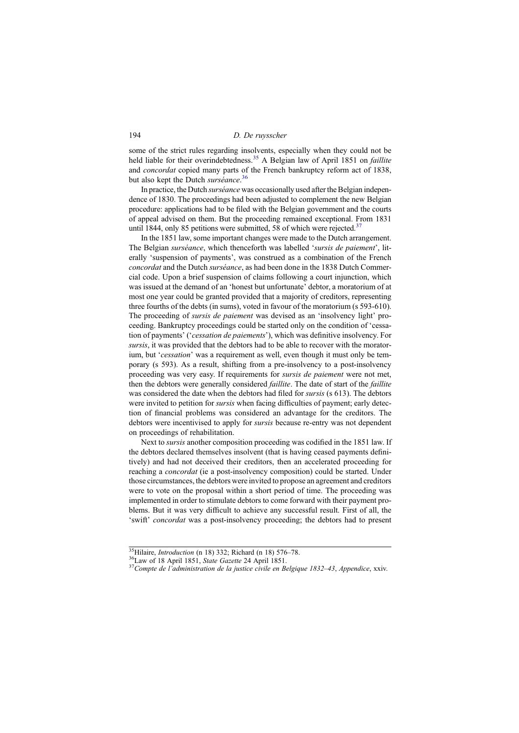some of the strict rules regarding insolvents, especially when they could not be held liable for their overindebtedness.<sup>35</sup> A Belgian law of April 1851 on *faillite* and concordat copied many parts of the French bankruptcy reform act of 1838, but also kept the Dutch surséance.<sup>36</sup>

In practice, the Dutch surséance was occasionally used after the Belgian independence of 1830. The proceedings had been adjusted to complement the new Belgian procedure: applications had to be filed with the Belgian government and the courts of appeal advised on them. But the proceeding remained exceptional. From 1831 until 1844, only 85 petitions were submitted, 58 of which were rejected.<sup>37</sup>

In the 1851 law, some important changes were made to the Dutch arrangement. The Belgian surséance, which thenceforth was labelled 'sursis de paiement', literally 'suspension of payments', was construed as a combination of the French concordat and the Dutch surséance, as had been done in the 1838 Dutch Commercial code. Upon a brief suspension of claims following a court injunction, which was issued at the demand of an 'honest but unfortunate' debtor, a moratorium of at most one year could be granted provided that a majority of creditors, representing three fourths of the debts (in sums), voted in favour of the moratorium (s 593-610). The proceeding of sursis de paiement was devised as an 'insolvency light' proceeding. Bankruptcy proceedings could be started only on the condition of 'cessation of payments' ('cessation de paiements'), which was definitive insolvency. For sursis, it was provided that the debtors had to be able to recover with the moratorium, but 'cessation' was a requirement as well, even though it must only be temporary (s 593). As a result, shifting from a pre-insolvency to a post-insolvency proceeding was very easy. If requirements for sursis de paiement were not met, then the debtors were generally considered faillite. The date of start of the faillite was considered the date when the debtors had filed for sursis (s 613). The debtors were invited to petition for sursis when facing difficulties of payment; early detection of financial problems was considered an advantage for the creditors. The debtors were incentivised to apply for sursis because re-entry was not dependent on proceedings of rehabilitation.

Next to sursis another composition proceeding was codified in the 1851 law. If the debtors declared themselves insolvent (that is having ceased payments definitively) and had not deceived their creditors, then an accelerated proceeding for reaching a concordat (ie a post-insolvency composition) could be started. Under those circumstances, the debtors were invited to propose an agreement and creditors were to vote on the proposal within a short period of time. The proceeding was implemented in order to stimulate debtors to come forward with their payment problems. But it was very difficult to achieve any successful result. First of all, the 'swift' concordat was a post-insolvency proceeding; the debtors had to present

<sup>&</sup>lt;sup>35</sup>Hilaire, *Introduction* (n 18) 332; Richard (n 18) 576–78.<br><sup>36</sup>Law of 18 April 1851, *State Gazette 24* April 1851.<br><sup>37</sup>Compte de l'administration de la justice civile en Belgique 1832–43, Appendice, xxiv.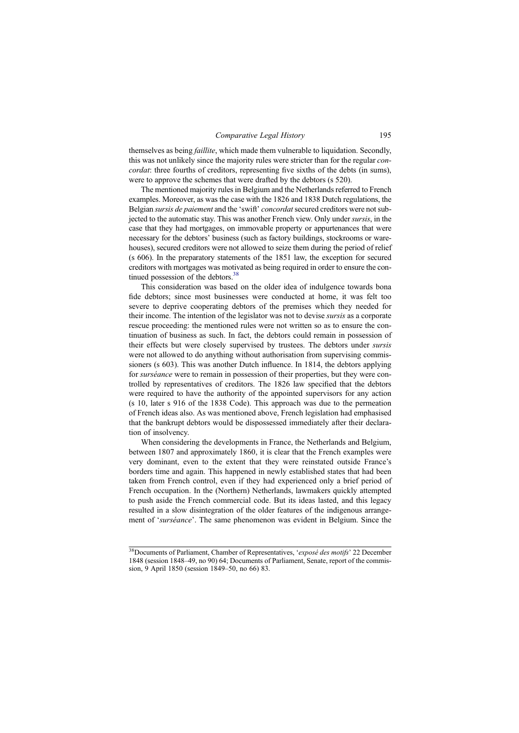themselves as being faillite, which made them vulnerable to liquidation. Secondly, this was not unlikely since the majority rules were stricter than for the regular concordat: three fourths of creditors, representing five sixths of the debts (in sums), were to approve the schemes that were drafted by the debtors (s 520).

The mentioned majority rules in Belgium and the Netherlands referred to French examples. Moreover, as was the case with the 1826 and 1838 Dutch regulations, the Belgian sursis de paiement and the 'swift' concordat secured creditors were not subjected to the automatic stay. This was another French view. Only under sursis, in the case that they had mortgages, on immovable property or appurtenances that were necessary for the debtors' business (such as factory buildings, stockrooms or warehouses), secured creditors were not allowed to seize them during the period of relief (s 606). In the preparatory statements of the 1851 law, the exception for secured creditors with mortgages was motivated as being required in order to ensure the continued possession of the debtors.<sup>38</sup>

This consideration was based on the older idea of indulgence towards bona fide debtors; since most businesses were conducted at home, it was felt too severe to deprive cooperating debtors of the premises which they needed for their income. The intention of the legislator was not to devise sursis as a corporate rescue proceeding: the mentioned rules were not written so as to ensure the continuation of business as such. In fact, the debtors could remain in possession of their effects but were closely supervised by trustees. The debtors under sursis were not allowed to do anything without authorisation from supervising commissioners (s 603). This was another Dutch influence. In 1814, the debtors applying for surséance were to remain in possession of their properties, but they were controlled by representatives of creditors. The 1826 law specified that the debtors were required to have the authority of the appointed supervisors for any action (s 10, later s 916 of the 1838 Code). This approach was due to the permeation of French ideas also. As was mentioned above, French legislation had emphasised that the bankrupt debtors would be dispossessed immediately after their declaration of insolvency.

When considering the developments in France, the Netherlands and Belgium, between 1807 and approximately 1860, it is clear that the French examples were very dominant, even to the extent that they were reinstated outside France's borders time and again. This happened in newly established states that had been taken from French control, even if they had experienced only a brief period of French occupation. In the (Northern) Netherlands, lawmakers quickly attempted to push aside the French commercial code. But its ideas lasted, and this legacy resulted in a slow disintegration of the older features of the indigenous arrangement of 'surséance'. The same phenomenon was evident in Belgium. Since the

<sup>&</sup>lt;sup>38</sup>Documents of Parliament, Chamber of Representatives, 'exposé des motifs' 22 December 1848 (session 1848–49, no 90) 64; Documents of Parliament, Senate, report of the commission, 9 April 1850 (session 1849–50, no 66) 83.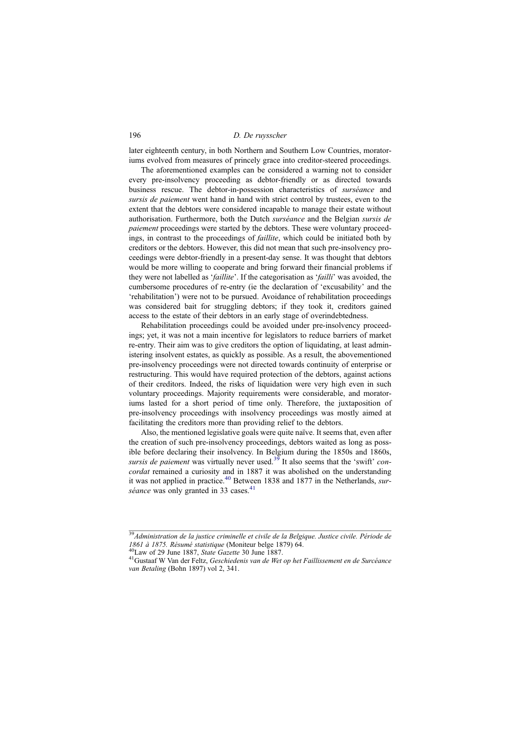later eighteenth century, in both Northern and Southern Low Countries, moratoriums evolved from measures of princely grace into creditor-steered proceedings.

The aforementioned examples can be considered a warning not to consider every pre-insolvency proceeding as debtor-friendly or as directed towards business rescue. The debtor-in-possession characteristics of surséance and sursis de paiement went hand in hand with strict control by trustees, even to the extent that the debtors were considered incapable to manage their estate without authorisation. Furthermore, both the Dutch surséance and the Belgian sursis de paiement proceedings were started by the debtors. These were voluntary proceedings, in contrast to the proceedings of faillite, which could be initiated both by creditors or the debtors. However, this did not mean that such pre-insolvency proceedings were debtor-friendly in a present-day sense. It was thought that debtors would be more willing to cooperate and bring forward their financial problems if they were not labelled as 'faillite'. If the categorisation as 'failli' was avoided, the cumbersome procedures of re-entry (ie the declaration of 'excusability' and the 'rehabilitation') were not to be pursued. Avoidance of rehabilitation proceedings was considered bait for struggling debtors; if they took it, creditors gained access to the estate of their debtors in an early stage of overindebtedness.

Rehabilitation proceedings could be avoided under pre-insolvency proceedings; yet, it was not a main incentive for legislators to reduce barriers of market re-entry. Their aim was to give creditors the option of liquidating, at least administering insolvent estates, as quickly as possible. As a result, the abovementioned pre-insolvency proceedings were not directed towards continuity of enterprise or restructuring. This would have required protection of the debtors, against actions of their creditors. Indeed, the risks of liquidation were very high even in such voluntary proceedings. Majority requirements were considerable, and moratoriums lasted for a short period of time only. Therefore, the juxtaposition of pre-insolvency proceedings with insolvency proceedings was mostly aimed at facilitating the creditors more than providing relief to the debtors.

Also, the mentioned legislative goals were quite naïve. It seems that, even after the creation of such pre-insolvency proceedings, debtors waited as long as possible before declaring their insolvency. In Belgium during the 1850s and 1860s, sursis de paiement was virtually never used. $3\overline{9}$  It also seems that the 'swift' concordat remained a curiosity and in 1887 it was abolished on the understanding it was not applied in practice.<sup>40</sup> Between 1838 and 1877 in the Netherlands, surséance was only granted in 33 cases. $41$ 

 $39$ Administration de la justice criminelle et civile de la Belgique. Justice civile. Période de 1861 à 1875. Résumé statistique (Moniteur belge 1879) 64.<br><sup>40</sup>Law of 29 June 1887, State Gazette 30 June 1887.<br><sup>41</sup>Gustaaf W Van der Feltz, Geschiedenis van de Wet op het Faillissement en de Surcéance

van Betaling (Bohn 1897) vol 2, 341.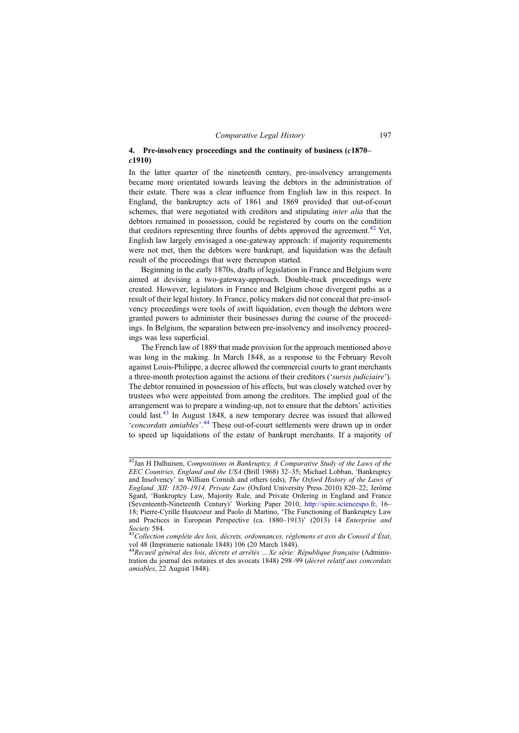#### 4. Pre-insolvency proceedings and the continuity of business (c1870– c1910)

In the latter quarter of the nineteenth century, pre-insolvency arrangements became more orientated towards leaving the debtors in the administration of their estate. There was a clear influence from English law in this respect. In England, the bankruptcy acts of 1861 and 1869 provided that out-of-court schemes, that were negotiated with creditors and stipulating inter alia that the debtors remained in possession, could be registered by courts on the condition that creditors representing three fourths of debts approved the agreement.<sup>42</sup> Yet, English law largely envisaged a one-gateway approach: if majority requirements were not met, then the debtors were bankrupt, and liquidation was the default result of the proceedings that were thereupon started.

Beginning in the early 1870s, drafts of legislation in France and Belgium were aimed at devising a two-gateway-approach. Double-track proceedings were created. However, legislators in France and Belgium chose divergent paths as a result of their legal history. In France, policy makers did not conceal that pre-insolvency proceedings were tools of swift liquidation, even though the debtors were granted powers to administer their businesses during the course of the proceedings. In Belgium, the separation between pre-insolvency and insolvency proceedings was less superficial.

The French law of 1889 that made provision for the approach mentioned above was long in the making. In March 1848, as a response to the February Revolt against Louis-Philippe, a decree allowed the commercial courts to grant merchants a three-month protection against the actions of their creditors ('sursis judiciaire'). The debtor remained in possession of his effects, but was closely watched over by trustees who were appointed from among the creditors. The implied goal of the arrangement was to prepare a winding-up, not to ensure that the debtors' activities could last.<sup>43</sup> In August 1848, a new temporary decree was issued that allowed 'concordats amiables'.<sup>44</sup> These out-of-court settlements were drawn up in order to speed up liquidations of the estate of bankrupt merchants. If a majority of

 $42$ Jan H Dalhuisen, Compositions in Bankruptcy. A Comparative Study of the Laws of the EEC Countries, England and the USA (Brill 1968) 32–35; Michael Lobban, 'Bankruptcy and Insolvency' in William Cornish and others (eds), The Oxford History of the Laws of England. XII: 1820–1914, Private Law (Oxford University Press 2010) 820–22; Jerôme Sgard, 'Bankruptcy Law, Majority Rule, and Private Ordering in England and France (Seventeenth-Nineteenth Century)' Working Paper 2010, <http://spire.sciencespo.fr>, 16– 18; Pierre-Cyrille Hautcoeur and Paolo di Martino, 'The Functioning of Bankruptcy Law and Practices in European Perspective (ca. 1880–1913)' (2013) 14 Enterprise and Society 584.

 $43$ Collection complète des lois, décrets, ordonnances, règlemens et avis du Conseil d'État, vol 48 (Imprimerie nationale 1848) 106 (20 March 1848).<br><sup>44</sup> Recueil général des lois, décrets et arrêtés ... Xe série: République française (Adminis-

tration du journal des notaires et des avocats 1848) 298–99 (décret relatif aux concordats amiables, 22 August 1848).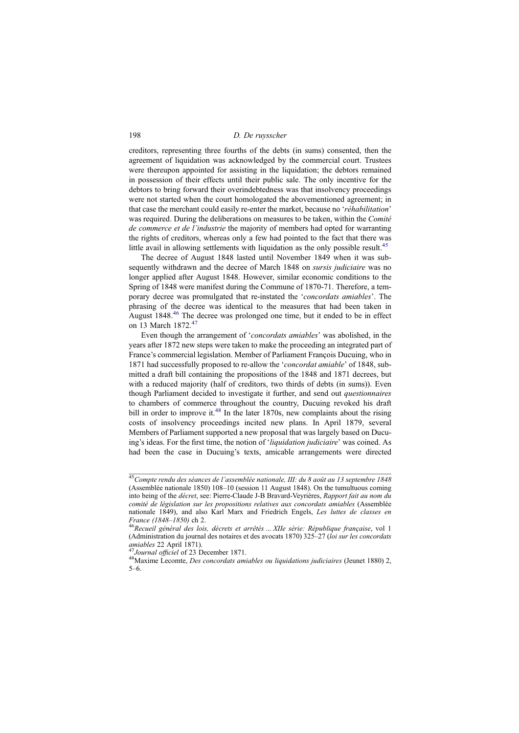creditors, representing three fourths of the debts (in sums) consented, then the agreement of liquidation was acknowledged by the commercial court. Trustees were thereupon appointed for assisting in the liquidation; the debtors remained in possession of their effects until their public sale. The only incentive for the debtors to bring forward their overindebtedness was that insolvency proceedings were not started when the court homologated the abovementioned agreement; in that case the merchant could easily re-enter the market, because no 'réhabilitation' was required. During the deliberations on measures to be taken, within the Comité de commerce et de l'industrie the majority of members had opted for warranting the rights of creditors, whereas only a few had pointed to the fact that there was little avail in allowing settlements with liquidation as the only possible result.<sup>45</sup>

The decree of August 1848 lasted until November 1849 when it was subsequently withdrawn and the decree of March 1848 on sursis judiciaire was no longer applied after August 1848. However, similar economic conditions to the Spring of 1848 were manifest during the Commune of 1870-71. Therefore, a temporary decree was promulgated that re-instated the 'concordats amiables'. The phrasing of the decree was identical to the measures that had been taken in August 1848.46 The decree was prolonged one time, but it ended to be in effect on 13 March 1872.<sup>47</sup>

Even though the arrangement of 'concordats amiables' was abolished, in the years after 1872 new steps were taken to make the proceeding an integrated part of France's commercial legislation. Member of Parliament François Ducuing, who in 1871 had successfully proposed to re-allow the 'concordat amiable' of 1848, submitted a draft bill containing the propositions of the 1848 and 1871 decrees, but with a reduced majority (half of creditors, two thirds of debts (in sums)). Even though Parliament decided to investigate it further, and send out questionnaires to chambers of commerce throughout the country, Ducuing revoked his draft bill in order to improve it.<sup>48</sup> In the later 1870s, new complaints about the rising costs of insolvency proceedings incited new plans. In April 1879, several Members of Parliament supported a new proposal that was largely based on Ducuing's ideas. For the first time, the notion of 'liquidation judiciaire' was coined. As had been the case in Ducuing's texts, amicable arrangements were directed

<sup>45</sup>Compte rendu des séances de l'assemblée nationale, III: du 8 août au 13 septembre 1848 (Assemblée nationale 1850) 108–10 (session 11 August 1848). On the tumultuous coming into being of the décret, see: Pierre-Claude J-B Bravard-Veyrières, Rapport fait au nom du comité de législation sur les propositions relatives aux concordats amiables (Assemblée nationale 1849), and also Karl Marx and Friedrich Engels, Les luttes de classes en France (1848–1850) ch 2.<br><sup>46</sup>Recueil général des lois, décrets et arrêtés ... XIIe série: République française, vol 1

<sup>(</sup>Administration du journal des notaires et des avocats 1870) 325–27 (loi sur les concordats amiables 22 April 1871).<br><sup>47</sup> Iournal effectel 2622 Direction de 1871.

<sup>&</sup>lt;sup>47</sup>Journal officiel of 23 December 1871.<br><sup>48</sup>Maxime Lecomte, *Des concordats amiables ou liquidations judiciaires* (Jeunet 1880) 2, 5–6.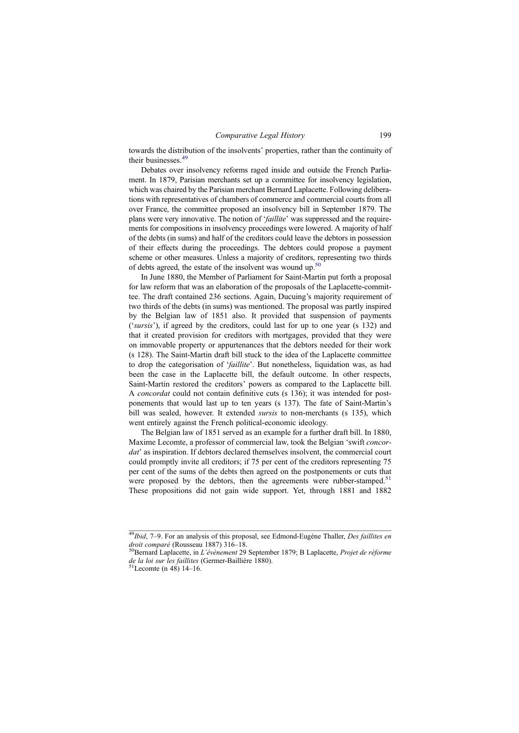towards the distribution of the insolvents' properties, rather than the continuity of their businesses.<sup>49</sup>

Debates over insolvency reforms raged inside and outside the French Parliament. In 1879, Parisian merchants set up a committee for insolvency legislation, which was chaired by the Parisian merchant Bernard Laplacette. Following deliberations with representatives of chambers of commerce and commercial courts from all over France, the committee proposed an insolvency bill in September 1879. The plans were very innovative. The notion of 'faillite' was suppressed and the requirements for compositions in insolvency proceedings were lowered. A majority of half of the debts (in sums) and half of the creditors could leave the debtors in possession of their effects during the proceedings. The debtors could propose a payment scheme or other measures. Unless a majority of creditors, representing two thirds of debts agreed, the estate of the insolvent was wound up.<sup>50</sup>

In June 1880, the Member of Parliament for Saint-Martin put forth a proposal for law reform that was an elaboration of the proposals of the Laplacette-committee. The draft contained 236 sections. Again, Ducuing's majority requirement of two thirds of the debts (in sums) was mentioned. The proposal was partly inspired by the Belgian law of 1851 also. It provided that suspension of payments ('sursis'), if agreed by the creditors, could last for up to one year (s 132) and that it created provision for creditors with mortgages, provided that they were on immovable property or appurtenances that the debtors needed for their work (s 128). The Saint-Martin draft bill stuck to the idea of the Laplacette committee to drop the categorisation of 'faillite'. But nonetheless, liquidation was, as had been the case in the Laplacette bill, the default outcome. In other respects, Saint-Martin restored the creditors' powers as compared to the Laplacette bill. A concordat could not contain definitive cuts (s 136); it was intended for postponements that would last up to ten years (s 137). The fate of Saint-Martin's bill was sealed, however. It extended *sursis* to non-merchants (s 135), which went entirely against the French political-economic ideology.

The Belgian law of 1851 served as an example for a further draft bill. In 1880, Maxime Lecomte, a professor of commercial law, took the Belgian 'swift concordat' as inspiration. If debtors declared themselves insolvent, the commercial court could promptly invite all creditors; if 75 per cent of the creditors representing 75 per cent of the sums of the debts then agreed on the postponements or cuts that were proposed by the debtors, then the agreements were rubber-stamped.<sup>51</sup> These propositions did not gain wide support. Yet, through 1881 and 1882

 $49$ Ibid, 7-9. For an analysis of this proposal, see Edmond-Eugène Thaller, Des faillites en droit comparé (Rousseau 1887) 316–18.<br><sup>50</sup>Bernard Laplacette, in *L'évènement* 29 September 1879; B Laplacette, *Projet de réforme* 

de la loi sur les faillites (Germer-Baillière 1880). 51Lecomte (n 48) 14–16.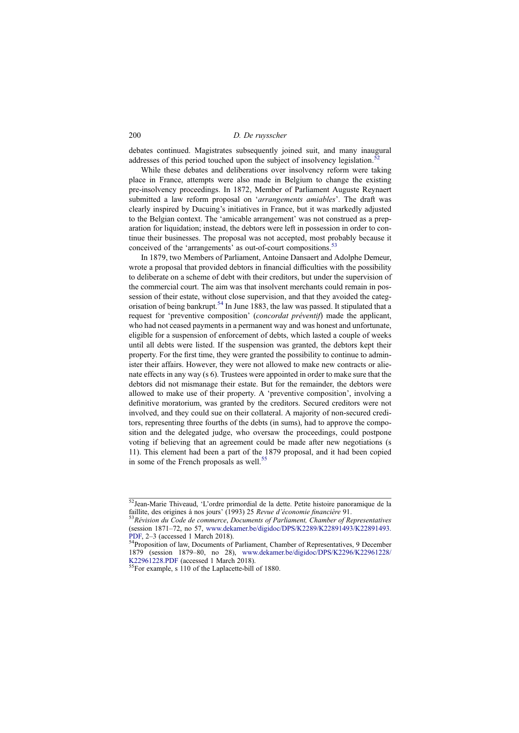debates continued. Magistrates subsequently joined suit, and many inaugural addresses of this period touched upon the subject of insolvency legislation.<sup>5</sup>

While these debates and deliberations over insolvency reform were taking place in France, attempts were also made in Belgium to change the existing pre-insolvency proceedings. In 1872, Member of Parliament Auguste Reynaert submitted a law reform proposal on 'arrangements amiables'. The draft was clearly inspired by Ducuing's initiatives in France, but it was markedly adjusted to the Belgian context. The 'amicable arrangement' was not construed as a preparation for liquidation; instead, the debtors were left in possession in order to continue their businesses. The proposal was not accepted, most probably because it conceived of the 'arrangements' as out-of-court compositions.<sup>53</sup>

In 1879, two Members of Parliament, Antoine Dansaert and Adolphe Demeur, wrote a proposal that provided debtors in financial difficulties with the possibility to deliberate on a scheme of debt with their creditors, but under the supervision of the commercial court. The aim was that insolvent merchants could remain in possession of their estate, without close supervision, and that they avoided the categorisation of being bankrupt.<sup>54</sup> In June 1883, the law was passed. It stipulated that a request for 'preventive composition' (concordat préventif) made the applicant, who had not ceased payments in a permanent way and was honest and unfortunate, eligible for a suspension of enforcement of debts, which lasted a couple of weeks until all debts were listed. If the suspension was granted, the debtors kept their property. For the first time, they were granted the possibility to continue to administer their affairs. However, they were not allowed to make new contracts or alienate effects in any way (s 6). Trustees were appointed in order to make sure that the debtors did not mismanage their estate. But for the remainder, the debtors were allowed to make use of their property. A 'preventive composition', involving a definitive moratorium, was granted by the creditors. Secured creditors were not involved, and they could sue on their collateral. A majority of non-secured creditors, representing three fourths of the debts (in sums), had to approve the composition and the delegated judge, who oversaw the proceedings, could postpone voting if believing that an agreement could be made after new negotiations (s 11). This element had been a part of the 1879 proposal, and it had been copied in some of the French proposals as well.<sup>55</sup>

 $52$ Jean-Marie Thiveaud, 'L'ordre primordial de la dette. Petite histoire panoramique de la faillite, des origines à nos jours' (1993) 25 Revue d'économie financière 91.

 $53$ Révision du Code de commerce, Documents of Parliament, Chamber of Representatives (session 1871–72, no 57, [www.dekamer.be/digidoc/DPS/K2289/K22891493/K22891493.](www.dekamer.be/digidoc/DPS/K2289/K22891493/K22891493.PDF) [PDF](www.dekamer.be/digidoc/DPS/K2289/K22891493/K22891493.PDF), 2–3 (accessed 1 March 2018). 54Proposition of law, Documents of Parliament, Chamber of Representatives, 9 December

<sup>1879 (</sup>session 1879–80, no 28), [www.dekamer.be/digidoc/DPS/K2296/K22961228/](www.dekamer.be/digidoc/DPS/K2296/K22961228/K22961228.PDF) [K22961228.PDF](www.dekamer.be/digidoc/DPS/K2296/K22961228/K22961228.PDF) (accessed 1 March 2018).<br><sup>55</sup>For example, s 110 of the Laplacette-bill of 1880.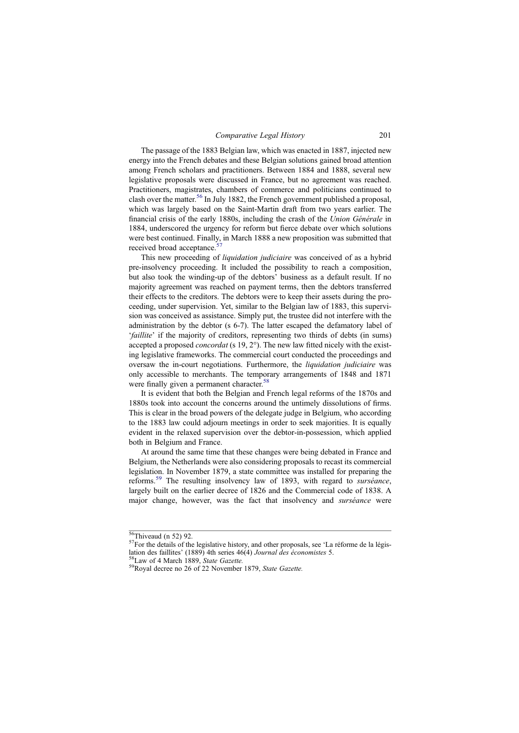#### Comparative Legal History 201

The passage of the 1883 Belgian law, which was enacted in 1887, injected new energy into the French debates and these Belgian solutions gained broad attention among French scholars and practitioners. Between 1884 and 1888, several new legislative proposals were discussed in France, but no agreement was reached. Practitioners, magistrates, chambers of commerce and politicians continued to clash over the matter.56 In July 1882, the French government published a proposal, which was largely based on the Saint-Martin draft from two years earlier. The financial crisis of the early 1880s, including the crash of the Union Générale in 1884, underscored the urgency for reform but fierce debate over which solutions were best continued. Finally, in March 1888 a new proposition was submitted that received broad acceptance.

This new proceeding of liquidation judiciaire was conceived of as a hybrid pre-insolvency proceeding. It included the possibility to reach a composition, but also took the winding-up of the debtors' business as a default result. If no majority agreement was reached on payment terms, then the debtors transferred their effects to the creditors. The debtors were to keep their assets during the proceeding, under supervision. Yet, similar to the Belgian law of 1883, this supervision was conceived as assistance. Simply put, the trustee did not interfere with the administration by the debtor (s 6-7). The latter escaped the defamatory label of 'faillite' if the majority of creditors, representing two thirds of debts (in sums) accepted a proposed concordat (s 19, 2°). The new law fitted nicely with the existing legislative frameworks. The commercial court conducted the proceedings and oversaw the in-court negotiations. Furthermore, the liquidation judiciaire was only accessible to merchants. The temporary arrangements of 1848 and 1871 were finally given a permanent character.<sup>58</sup>

It is evident that both the Belgian and French legal reforms of the 1870s and 1880s took into account the concerns around the untimely dissolutions of firms. This is clear in the broad powers of the delegate judge in Belgium, who according to the 1883 law could adjourn meetings in order to seek majorities. It is equally evident in the relaxed supervision over the debtor-in-possession, which applied both in Belgium and France.

At around the same time that these changes were being debated in France and Belgium, the Netherlands were also considering proposals to recast its commercial legislation. In November 1879, a state committee was installed for preparing the reforms.<sup>59</sup> The resulting insolvency law of 1893, with regard to surséance, largely built on the earlier decree of 1826 and the Commercial code of 1838. A major change, however, was the fact that insolvency and surséance were

<sup>&</sup>lt;sup>56</sup>Thiveaud (n 52) 92.<br><sup>57</sup>For the details of the legislative history, and other proposals, see 'La réforme de la légis-<br>lation des faillites' (1889) 4th series 46(4) *Journal des économistes* 5.

<sup>&</sup>lt;sup>58</sup>Law of 4 March 1889, *State Gazette.*  $^{59}$ Royal decree no 26 of 22 November 1879, *State Gazette.*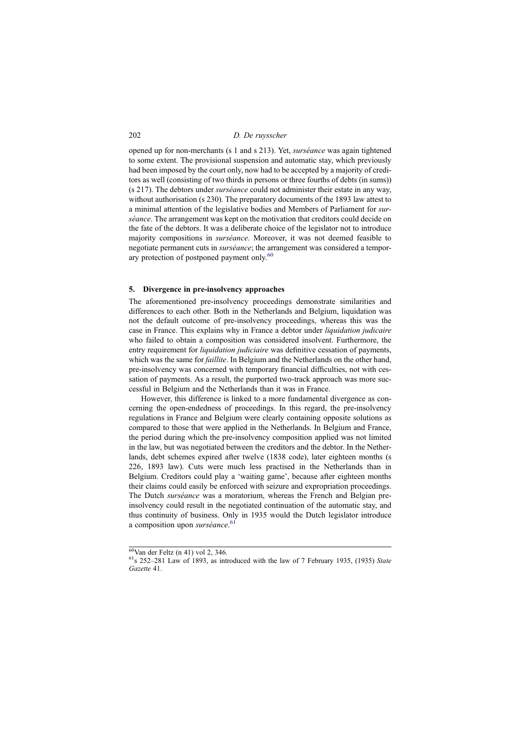opened up for non-merchants (s 1 and s 213). Yet, surséance was again tightened to some extent. The provisional suspension and automatic stay, which previously had been imposed by the court only, now had to be accepted by a majority of creditors as well (consisting of two thirds in persons or three fourths of debts (in sums)) (s 217). The debtors under surséance could not administer their estate in any way, without authorisation (s 230). The preparatory documents of the 1893 law attest to a minimal attention of the legislative bodies and Members of Parliament for surséance. The arrangement was kept on the motivation that creditors could decide on the fate of the debtors. It was a deliberate choice of the legislator not to introduce majority compositions in surséance. Moreover, it was not deemed feasible to negotiate permanent cuts in surséance; the arrangement was considered a temporary protection of postponed payment only.<sup>60</sup>

#### 5. Divergence in pre-insolvency approaches

The aforementioned pre-insolvency proceedings demonstrate similarities and differences to each other. Both in the Netherlands and Belgium, liquidation was not the default outcome of pre-insolvency proceedings, whereas this was the case in France. This explains why in France a debtor under liquidation judicaire who failed to obtain a composition was considered insolvent. Furthermore, the entry requirement for *liquidation judiciaire* was definitive cessation of payments, which was the same for *faillite*. In Belgium and the Netherlands on the other hand, pre-insolvency was concerned with temporary financial difficulties, not with cessation of payments. As a result, the purported two-track approach was more successful in Belgium and the Netherlands than it was in France.

However, this difference is linked to a more fundamental divergence as concerning the open-endedness of proceedings. In this regard, the pre-insolvency regulations in France and Belgium were clearly containing opposite solutions as compared to those that were applied in the Netherlands. In Belgium and France, the period during which the pre-insolvency composition applied was not limited in the law, but was negotiated between the creditors and the debtor. In the Netherlands, debt schemes expired after twelve (1838 code), later eighteen months (s 226, 1893 law). Cuts were much less practised in the Netherlands than in Belgium. Creditors could play a 'waiting game', because after eighteen months their claims could easily be enforced with seizure and expropriation proceedings. The Dutch surséance was a moratorium, whereas the French and Belgian preinsolvency could result in the negotiated continuation of the automatic stay, and thus continuity of business. Only in 1935 would the Dutch legislator introduce a composition upon surséance.<sup>61</sup>

 $\frac{60}{18}$ Van der Feltz (n 41) vol 2, 346.<br><sup>61</sup>s 252–281 Law of 1893, as introduced with the law of 7 February 1935, (1935) State Gazette 41.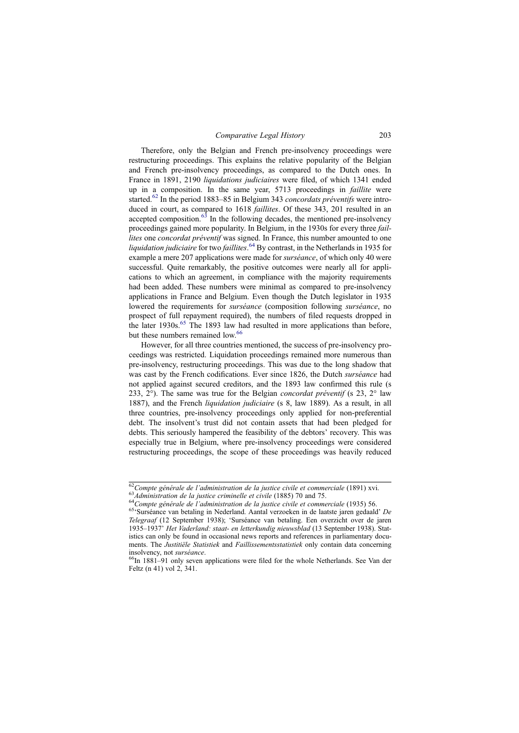#### Comparative Legal History 203

Therefore, only the Belgian and French pre-insolvency proceedings were restructuring proceedings. This explains the relative popularity of the Belgian and French pre-insolvency proceedings, as compared to the Dutch ones. In France in 1891, 2190 liquidations judiciaires were filed, of which 1341 ended up in a composition. In the same year, 5713 proceedings in faillite were started.<sup>62</sup> In the period 1883–85 in Belgium 343 *concordats préventifs* were introduced in court, as compared to 1618 *faillites*. Of these 343, 201 resulted in an accepted composition. $63$  In the following decades, the mentioned pre-insolvency proceedings gained more popularity. In Belgium, in the 1930s for every three faillites one concordat préventif was signed. In France, this number amounted to one liquidation judiciaire for two faillites.<sup>64</sup> By contrast, in the Netherlands in 1935 for example a mere 207 applications were made for surséance, of which only 40 were successful. Quite remarkably, the positive outcomes were nearly all for applications to which an agreement, in compliance with the majority requirements had been added. These numbers were minimal as compared to pre-insolvency applications in France and Belgium. Even though the Dutch legislator in 1935 lowered the requirements for surséance (composition following surséance, no prospect of full repayment required), the numbers of filed requests dropped in the later  $1930s$ .<sup>65</sup> The 1893 law had resulted in more applications than before, but these numbers remained low.<sup>66</sup>

However, for all three countries mentioned, the success of pre-insolvency proceedings was restricted. Liquidation proceedings remained more numerous than pre-insolvency, restructuring proceedings. This was due to the long shadow that was cast by the French codifications. Ever since 1826, the Dutch surséance had not applied against secured creditors, and the 1893 law confirmed this rule (s 233, 2°). The same was true for the Belgian *concordat préventif* (s 23, 2° law 1887), and the French liquidation judiciaire (s 8, law 1889). As a result, in all three countries, pre-insolvency proceedings only applied for non-preferential debt. The insolvent's trust did not contain assets that had been pledged for debts. This seriously hampered the feasibility of the debtors' recovery. This was especially true in Belgium, where pre-insolvency proceedings were considered restructuring proceedings, the scope of these proceedings was heavily reduced

<sup>&</sup>lt;sup>62</sup>Compte générale de l'administration de la justice civile et commerciale (1891) xvi.<br><sup>63</sup> Administration de la justice criminelle et civile (1885) 70 and 75.<br><sup>64</sup>Compte générale de l'administration de la justice civile

Telegraaf (12 September 1938); 'Surséance van betaling. Een overzicht over de jaren 1935–1937' Het Vaderland: staat- en letterkundig nieuwsblad (13 September 1938). Statistics can only be found in occasional news reports and references in parliamentary documents. The Justitiële Statistiek and Faillissementsstatistiek only contain data concerning insolvency, not surséance.

<sup>&</sup>lt;sup>66</sup>In 1881–91 only seven applications were filed for the whole Netherlands. See Van der Feltz (n 41) vol 2, 341.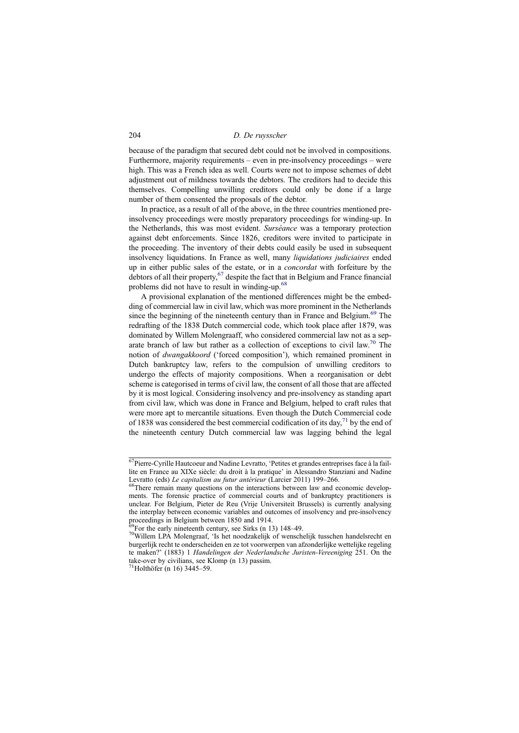because of the paradigm that secured debt could not be involved in compositions. Furthermore, majority requirements – even in pre-insolvency proceedings – were high. This was a French idea as well. Courts were not to impose schemes of debt adjustment out of mildness towards the debtors. The creditors had to decide this themselves. Compelling unwilling creditors could only be done if a large number of them consented the proposals of the debtor.

In practice, as a result of all of the above, in the three countries mentioned preinsolvency proceedings were mostly preparatory proceedings for winding-up. In the Netherlands, this was most evident. Surséance was a temporary protection against debt enforcements. Since 1826, creditors were invited to participate in the proceeding. The inventory of their debts could easily be used in subsequent insolvency liquidations. In France as well, many liquidations judiciaires ended up in either public sales of the estate, or in a concordat with forfeiture by the debtors of all their property,<sup>67</sup> despite the fact that in Belgium and France financial problems did not have to result in winding-up.<sup>68</sup>

A provisional explanation of the mentioned differences might be the embedding of commercial law in civil law, which was more prominent in the Netherlands since the beginning of the nineteenth century than in France and Belgium.<sup>69</sup> The redrafting of the 1838 Dutch commercial code, which took place after 1879, was dominated by Willem Molengraaff, who considered commercial law not as a separate branch of law but rather as a collection of exceptions to civil law.70 The notion of dwangakkoord ('forced composition'), which remained prominent in Dutch bankruptcy law, refers to the compulsion of unwilling creditors to undergo the effects of majority compositions. When a reorganisation or debt scheme is categorised in terms of civil law, the consent of all those that are affected by it is most logical. Considering insolvency and pre-insolvency as standing apart from civil law, which was done in France and Belgium, helped to craft rules that were more apt to mercantile situations. Even though the Dutch Commercial code of 1838 was considered the best commercial codification of its day,  $^{71}$  by the end of the nineteenth century Dutch commercial law was lagging behind the legal

<sup>&</sup>lt;sup>67</sup>Pierre-Cyrille Hautcoeur and Nadine Levratto, 'Petites et grandes entreprises face à la faillite en France au XIXe siècle: du droit à la pratique' in Alessandro Stanziani and Nadine Levratto (eds) Le capitalism au futur antérieur (Larcier 2011) 199–266.<br><sup>68</sup>There remain many questions on the interactions between law and economic develop-

ments. The forensic practice of commercial courts and of bankruptcy practitioners is unclear. For Belgium, Pieter de Reu (Vrije Universiteit Brussels) is currently analysing the interplay between economic variables and outcomes of insolvency and pre-insolvency proceedings in Belgium between 1850 and 1914.<br><sup>69</sup>For the early nineteenth century, see Sirks (n 13) 148–49.

 $^{70}$ Willem LPA Molengraaf, 'Is het noodzakelijk of wenschelijk tusschen handelsrecht en burgerlijk recht te onderscheiden en ze tot voorwerpen van afzonderlijke wettelijke regeling te maken?' (1883) 1 Handelingen der Nederlandsche Juristen-Vereeniging 251. On the take-over by civilians, see Klomp (n 13) passim.<br><sup>71</sup>Holthöfer (n 16) 3445–59.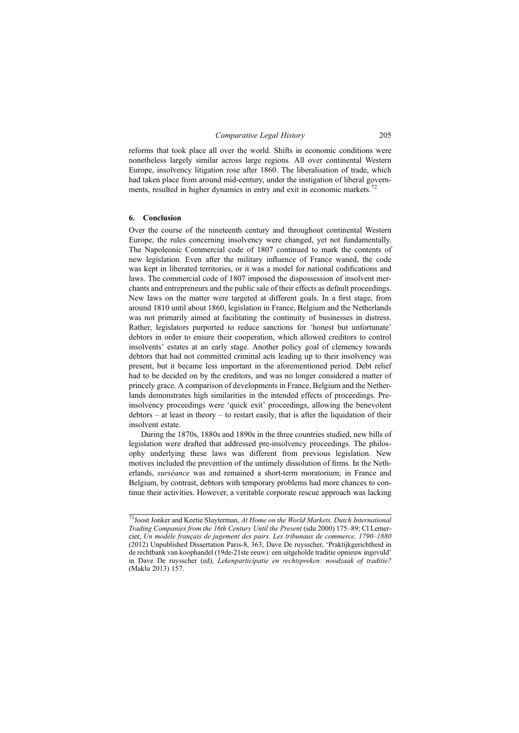reforms that took place all over the world. Shifts in economic conditions were nonetheless largely similar across large regions. All over continental Western Europe, insolvency litigation rose after 1860. The liberalisation of trade, which had taken place from around mid-century, under the instigation of liberal governments, resulted in higher dynamics in entry and exit in economic markets.<sup>72</sup>

#### 6. Conclusion

Over the course of the nineteenth century and throughout continental Western Europe, the rules concerning insolvency were changed, yet not fundamentally. The Napoleonic Commercial code of 1807 continued to mark the contents of new legislation. Even after the military influence of France waned, the code was kept in liberated territories, or it was a model for national codifications and laws. The commercial code of 1807 imposed the dispossession of insolvent merchants and entrepreneurs and the public sale of their effects as default proceedings. New laws on the matter were targeted at different goals. In a first stage, from around 1810 until about 1860, legislation in France, Belgium and the Netherlands was not primarily aimed at facilitating the continuity of businesses in distress. Rather, legislators purported to reduce sanctions for 'honest but unfortunate' debtors in order to ensure their cooperation, which allowed creditors to control insolvents' estates at an early stage. Another policy goal of clemency towards debtors that had not committed criminal acts leading up to their insolvency was present, but it became less important in the aforementioned period. Debt relief had to be decided on by the creditors, and was no longer considered a matter of princely grace. A comparison of developments in France, Belgium and the Netherlands demonstrates high similarities in the intended effects of proceedings. Preinsolvency proceedings were 'quick exit' proceedings, allowing the benevolent debtors – at least in theory – to restart easily, that is after the liquidation of their insolvent estate.

During the 1870s, 1880s and 1890s in the three countries studied, new bills of legislation were drafted that addressed pre-insolvency proceedings. The philosophy underlying these laws was different from previous legislation. New motives included the prevention of the untimely dissolution of firms. In the Netherlands, surséance was and remained a short-term moratorium; in France and Belgium, by contrast, debtors with temporary problems had more chances to continue their activities. However, a veritable corporate rescue approach was lacking

 $\frac{72}{12}$ Joost Jonker and Keetie Sluyterman, At Home on the World Markets. Dutch International Trading Companies from the 16th Century Until the Present (sdu 2000) 175–89; Cl Lemercier, Un modèle français de jugement des pairs. Les tribunaux de commerce, 1790–1880 (2012) Unpublished Dissertation Paris-8, 363; Dave De ruysscher, 'Praktijkgerichtheid in de rechtbank van koophandel (19de-21ste eeuw): een uitgeholde traditie opnieuw ingevuld' in Dave De ruysscher (ed), Lekenparticipatie en rechtspreken: noodzaak of traditie? (Maklu 2013) 157.